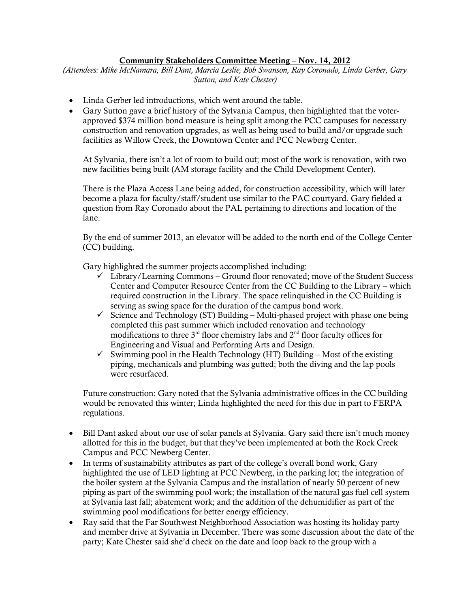## Community Stakeholders Committee Meeting – Nov. 14, 2012

*(Attendees: Mike McNamara, Bill Dant, Marcia Leslie, Bob Swanson, Ray Coronado, Linda Gerber, Gary Sutton, and Kate Chester)*

- Linda Gerber led introductions, which went around the table.
- Gary Sutton gave a brief history of the Sylvania Campus, then highlighted that the voterapproved \$374 million bond measure is being split among the PCC campuses for necessary construction and renovation upgrades, as well as being used to build and/or upgrade such facilities as Willow Creek, the Downtown Center and PCC Newberg Center.

At Sylvania, there isn't a lot of room to build out; most of the work is renovation, with two new facilities being built (AM storage facility and the Child Development Center).

There is the Plaza Access Lane being added, for construction accessibility, which will later become a plaza for faculty/staff/student use similar to the PAC courtyard. Gary fielded a question from Ray Coronado about the PAL pertaining to directions and location of the lane.

By the end of summer 2013, an elevator will be added to the north end of the College Center (CC) building.

Gary highlighted the summer projects accomplished including:

- $\checkmark$  Library/Learning Commons Ground floor renovated; move of the Student Success Center and Computer Resource Center from the CC Building to the Library – which required construction in the Library. The space relinquished in the CC Building is serving as swing space for the duration of the campus bond work.
- $\checkmark$  Science and Technology (ST) Building Multi-phased project with phase one being completed this past summer which included renovation and technology modifications to three  $3<sup>rd</sup>$  floor chemistry labs and  $2<sup>nd</sup>$  floor faculty offices for Engineering and Visual and Performing Arts and Design.
- $\checkmark$  Swimming pool in the Health Technology (HT) Building Most of the existing piping, mechanicals and plumbing was gutted; both the diving and the lap pools were resurfaced.

Future construction: Gary noted that the Sylvania administrative offices in the CC building would be renovated this winter; Linda highlighted the need for this due in part to FERPA regulations.

- Bill Dant asked about our use of solar panels at Sylvania. Gary said there isn't much money allotted for this in the budget, but that they've been implemented at both the Rock Creek Campus and PCC Newberg Center.
- In terms of sustainability attributes as part of the college's overall bond work, Gary highlighted the use of LED lighting at PCC Newberg, in the parking lot; the integration of the boiler system at the Sylvania Campus and the installation of nearly 50 percent of new piping as part of the swimming pool work; the installation of the natural gas fuel cell system at Sylvania last fall; abatement work; and the addition of the dehumidifier as part of the swimming pool modifications for better energy efficiency.
- Ray said that the Far Southwest Neighborhood Association was hosting its holiday party and member drive at Sylvania in December. There was some discussion about the date of the party; Kate Chester said she'd check on the date and loop back to the group with a